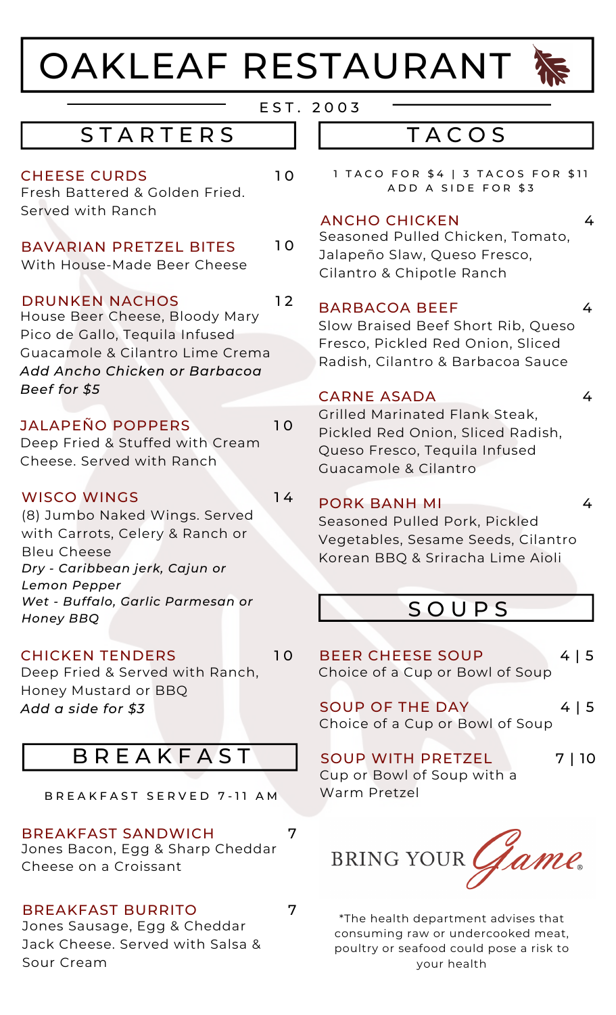# OAKLEAF RESTAURANT



4

4

4

E S T . 2 0 0 3

## **TACOS**

1 TACO FOR \$4 | 3 TACOS FOR \$11 A D D A SIDE FOR \$3

#### ANCHO CHICKEN 4

Seasoned Pulled Chicken, Tomato, Jalapeño Slaw, Queso Fresco, Cilantro & Chipotle Ranch

#### BARBACOA BEEF

Slow Braised Beef Short Rib, Queso Fresco, Pickled Red Onion, Sliced Radish, Cilantro & Barbacoa Sauce

#### CARNE ASADA

Grilled Marinated Flank Steak, Pickled Red Onion, Sliced Radish, Queso Fresco, Tequila Infused Guacamole & Cilantro

#### PORK BANH MI

Seasoned Pulled Pork, Pickled Vegetables, Sesame Seeds, Cilantro Korean BBQ & Sriracha Lime Aioli

## **SOUPS**

BEER CHEESE SOUP 4 | 5 Choice of a Cup or Bowl of Soup

SOUP OF THE DAY 4 | 5 Choice of a Cup or Bowl of Soup

SOUP WITH PRETZEL Cup or Bowl of Soup with a Warm Pretzel 7 | 10



\*The health department advises that consuming raw or undercooked meat, poultry or seafood could pose a risk to your health

# **STARTERS**

#### CHEESE CURDS 10

Fresh Battered & Golden Fried. Served with Ranch

### BAVARIAN PRETZEL BITES 10

With House-Made Beer Cheese

#### DRUNKEN NACHOS

House Beer Cheese, Bloody Mary Pico de Gallo, Tequila Infused Guacamole & Cilantro Lime Crema *Add Ancho Chicken or Barbacoa Beef for \$5*

### JALAPEÑO POPPERS 10

Deep Fried & Stuffed with Cream Cheese. Served with Ranch

#### WISCO WINGS

1 4

1 2

1 0

(8) Jumbo Naked Wings. Served with Carrots, Celery & Ranch or Bleu Cheese *Dry - Caribbean jerk, Cajun or Lemon Pepper Wet - Buffalo, Garlic Parmesan or Honey BBQ*

#### CHICKEN TENDERS

Deep Fried & Served with Ranch, Honey Mustard or BBQ *Add a side for \$3*

# **B R E A K F A S T**

B R E A K F A S T S E R V E D 7-11 A M

#### BREAKFAST SANDWICH 7

Jones Bacon, Egg & Sharp Cheddar Cheese on a Croissant

#### BREAKFAST BURRITO 7

Jones Sausage, Egg & Cheddar Jack Cheese. Served with Salsa & Sour Cream